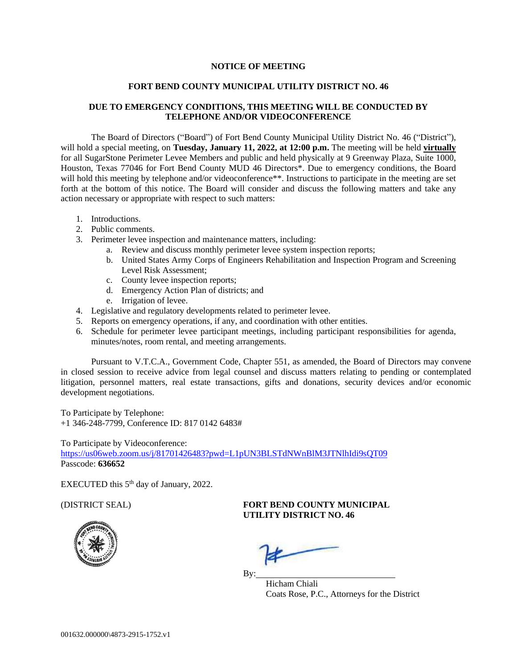## **NOTICE OF MEETING**

## **FORT BEND COUNTY MUNICIPAL UTILITY DISTRICT NO. 46**

## **DUE TO EMERGENCY CONDITIONS, THIS MEETING WILL BE CONDUCTED BY TELEPHONE AND/OR VIDEOCONFERENCE**

The Board of Directors ("Board") of Fort Bend County Municipal Utility District No. 46 ("District"), will hold a special meeting, on **Tuesday, January 11, 2022, at 12:00 p.m.** The meeting will be held **virtually** for all SugarStone Perimeter Levee Members and public and held physically at 9 Greenway Plaza, Suite 1000, Houston, Texas 77046 for Fort Bend County MUD 46 Directors\*. Due to emergency conditions, the Board will hold this meeting by telephone and/or videoconference\*\*. Instructions to participate in the meeting are set forth at the bottom of this notice. The Board will consider and discuss the following matters and take any action necessary or appropriate with respect to such matters:

- 1. Introductions.
- 2. Public comments.
- 3. Perimeter levee inspection and maintenance matters, including:
	- a. Review and discuss monthly perimeter levee system inspection reports;
	- b. United States Army Corps of Engineers Rehabilitation and Inspection Program and Screening Level Risk Assessment;
	- c. County levee inspection reports;
	- d. Emergency Action Plan of districts; and
	- e. Irrigation of levee.
- 4. Legislative and regulatory developments related to perimeter levee.
- 5. Reports on emergency operations, if any, and coordination with other entities.
- 6. Schedule for perimeter levee participant meetings, including participant responsibilities for agenda, minutes/notes, room rental, and meeting arrangements.

Pursuant to V.T.C.A., Government Code, Chapter 551, as amended, the Board of Directors may convene in closed session to receive advice from legal counsel and discuss matters relating to pending or contemplated litigation, personnel matters, real estate transactions, gifts and donations, security devices and/or economic development negotiations.

To Participate by Telephone: +1 346-248-7799, Conference ID: 817 0142 6483#

To Participate by Videoconference:

<https://us06web.zoom.us/j/81701426483?pwd=L1pUN3BLSTdNWnBlM3JTNlhIdi9sQT09> Passcode: **636652**

EXECUTED this  $5<sup>th</sup>$  day of January, 2022.

## (DISTRICT SEAL) **FORT BEND COUNTY MUNICIPAL UTILITY DISTRICT NO. 46**



 $\mathbf{By:}$ Hicham Chiali Coats Rose, P.C., Attorneys for the District